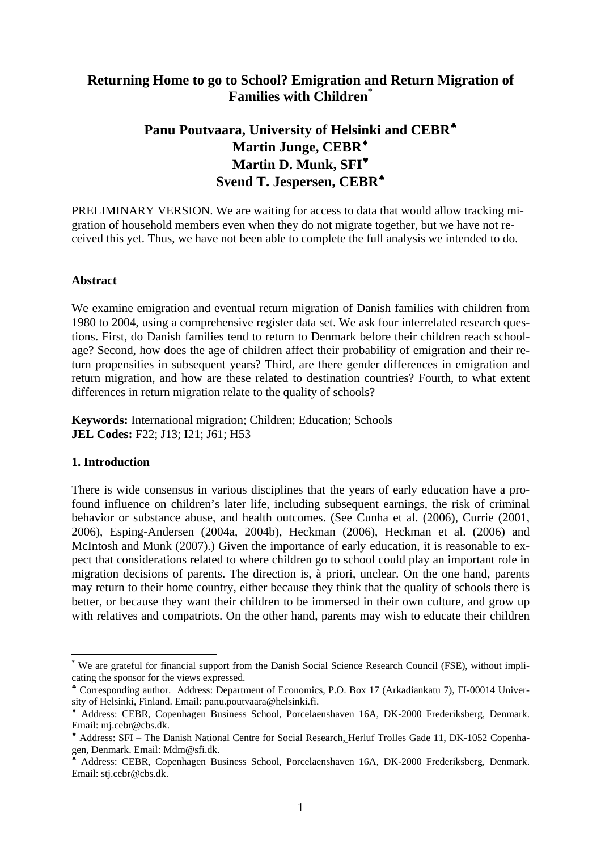# **Returning Home to go to School? Emigration and Return Migration of Families with Children[\\*](#page-0-0)**

# **Panu Poutvaara, University of Helsinki and CEBR**[♣](#page-0-1) **Martin Junge, CEBR**[♦](#page-0-2) **Martin D. Munk, SFI**[♥](#page-0-3) **Svend T. Jespersen, CEBR**[♠](#page-0-4)

PRELIMINARY VERSION. We are waiting for access to data that would allow tracking migration of household members even when they do not migrate together, but we have not received this yet. Thus, we have not been able to complete the full analysis we intended to do.

#### **Abstract**

We examine emigration and eventual return migration of Danish families with children from 1980 to 2004, using a comprehensive register data set. We ask four interrelated research questions. First, do Danish families tend to return to Denmark before their children reach schoolage? Second, how does the age of children affect their probability of emigration and their return propensities in subsequent years? Third, are there gender differences in emigration and return migration, and how are these related to destination countries? Fourth, to what extent differences in return migration relate to the quality of schools?

**Keywords:** International migration; Children; Education; Schools **JEL Codes:** F22; J13; I21; J61; H53

#### **1. Introduction**

 $\overline{a}$ 

There is wide consensus in various disciplines that the years of early education have a profound influence on children's later life, including subsequent earnings, the risk of criminal behavior or substance abuse, and health outcomes. (See Cunha et al. (2006), Currie (2001, 2006), Esping-Andersen (2004a, 2004b), Heckman (2006), Heckman et al. (2006) and McIntosh and Munk (2007).) Given the importance of early education, it is reasonable to expect that considerations related to where children go to school could play an important role in migration decisions of parents. The direction is, à priori, unclear. On the one hand, parents may return to their home country, either because they think that the quality of schools there is better, or because they want their children to be immersed in their own culture, and grow up with relatives and compatriots. On the other hand, parents may wish to educate their children

<span id="page-0-0"></span><sup>\*</sup> We are grateful for financial support from the Danish Social Science Research Council (FSE), without implicating the sponsor for the views expressed.

<span id="page-0-1"></span><sup>♣</sup> Corresponding author. Address: Department of Economics, P.O. Box 17 (Arkadiankatu 7), FI-00014 University of Helsinki, Finland. Email: panu.poutvaara@helsinki.fi.

<span id="page-0-2"></span><sup>♦</sup> Address: CEBR, Copenhagen Business School, Porcelaenshaven 16A, DK-2000 Frederiksberg, Denmark. Email: mj.cebr@cbs.dk.

<span id="page-0-3"></span><sup>♥</sup> Address: SFI – The Danish National Centre for Social Research, Herluf Trolles Gade 11, DK-1052 Copenhagen, Denmark. Email: Mdm@sfi.dk.

<span id="page-0-4"></span><sup>♠</sup> Address: CEBR, Copenhagen Business School, Porcelaenshaven 16A, DK-2000 Frederiksberg, Denmark. Email: stj.cebr@cbs.dk.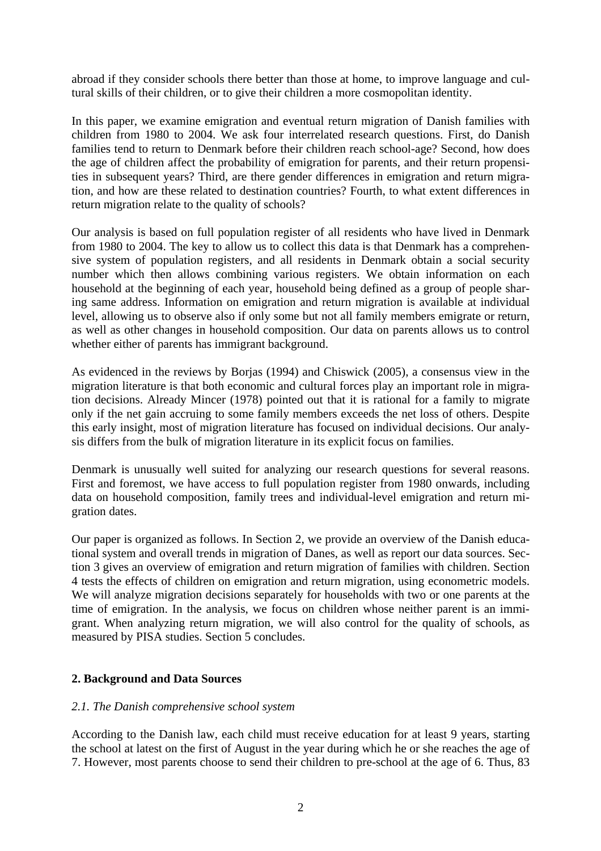abroad if they consider schools there better than those at home, to improve language and cultural skills of their children, or to give their children a more cosmopolitan identity.

In this paper, we examine emigration and eventual return migration of Danish families with children from 1980 to 2004. We ask four interrelated research questions. First, do Danish families tend to return to Denmark before their children reach school-age? Second, how does the age of children affect the probability of emigration for parents, and their return propensities in subsequent years? Third, are there gender differences in emigration and return migration, and how are these related to destination countries? Fourth, to what extent differences in return migration relate to the quality of schools?

Our analysis is based on full population register of all residents who have lived in Denmark from 1980 to 2004. The key to allow us to collect this data is that Denmark has a comprehensive system of population registers, and all residents in Denmark obtain a social security number which then allows combining various registers. We obtain information on each household at the beginning of each year, household being defined as a group of people sharing same address. Information on emigration and return migration is available at individual level, allowing us to observe also if only some but not all family members emigrate or return, as well as other changes in household composition. Our data on parents allows us to control whether either of parents has immigrant background.

As evidenced in the reviews by Borjas (1994) and Chiswick (2005), a consensus view in the migration literature is that both economic and cultural forces play an important role in migration decisions. Already Mincer (1978) pointed out that it is rational for a family to migrate only if the net gain accruing to some family members exceeds the net loss of others. Despite this early insight, most of migration literature has focused on individual decisions. Our analysis differs from the bulk of migration literature in its explicit focus on families.

Denmark is unusually well suited for analyzing our research questions for several reasons. First and foremost, we have access to full population register from 1980 onwards, including data on household composition, family trees and individual-level emigration and return migration dates.

Our paper is organized as follows. In Section 2, we provide an overview of the Danish educational system and overall trends in migration of Danes, as well as report our data sources. Section 3 gives an overview of emigration and return migration of families with children. Section 4 tests the effects of children on emigration and return migration, using econometric models. We will analyze migration decisions separately for households with two or one parents at the time of emigration. In the analysis, we focus on children whose neither parent is an immigrant. When analyzing return migration, we will also control for the quality of schools, as measured by PISA studies. Section 5 concludes.

# **2. Background and Data Sources**

#### *2.1. The Danish comprehensive school system*

According to the Danish law, each child must receive education for at least 9 years, starting the school at latest on the first of August in the year during which he or she reaches the age of 7. However, most parents choose to send their children to pre-school at the age of 6. Thus, 83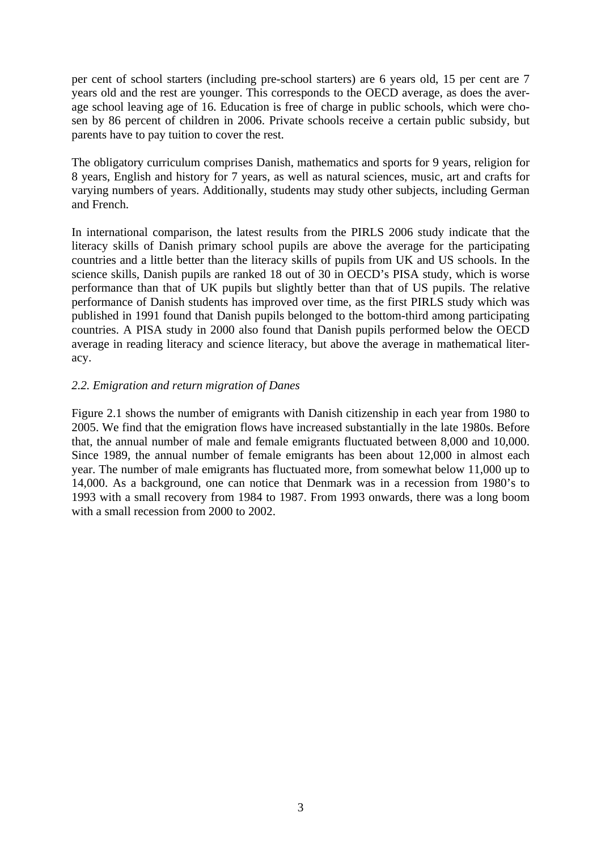per cent of school starters (including pre-school starters) are 6 years old, 15 per cent are 7 years old and the rest are younger. This corresponds to the OECD average, as does the average school leaving age of 16. Education is free of charge in public schools, which were chosen by 86 percent of children in 2006. Private schools receive a certain public subsidy, but parents have to pay tuition to cover the rest.

The obligatory curriculum comprises Danish, mathematics and sports for 9 years, religion for 8 years, English and history for 7 years, as well as natural sciences, music, art and crafts for varying numbers of years. Additionally, students may study other subjects, including German and French.

In international comparison, the latest results from the PIRLS 2006 study indicate that the literacy skills of Danish primary school pupils are above the average for the participating countries and a little better than the literacy skills of pupils from UK and US schools. In the science skills, Danish pupils are ranked 18 out of 30 in OECD's PISA study, which is worse performance than that of UK pupils but slightly better than that of US pupils. The relative performance of Danish students has improved over time, as the first PIRLS study which was published in 1991 found that Danish pupils belonged to the bottom-third among participating countries. A PISA study in 2000 also found that Danish pupils performed below the OECD average in reading literacy and science literacy, but above the average in mathematical literacy.

### *2.2. Emigration and return migration of Danes*

Figure 2.1 shows the number of emigrants with Danish citizenship in each year from 1980 to 2005. We find that the emigration flows have increased substantially in the late 1980s. Before that, the annual number of male and female emigrants fluctuated between 8,000 and 10,000. Since 1989, the annual number of female emigrants has been about 12,000 in almost each year. The number of male emigrants has fluctuated more, from somewhat below 11,000 up to 14,000. As a background, one can notice that Denmark was in a recession from 1980's to 1993 with a small recovery from 1984 to 1987. From 1993 onwards, there was a long boom with a small recession from 2000 to 2002.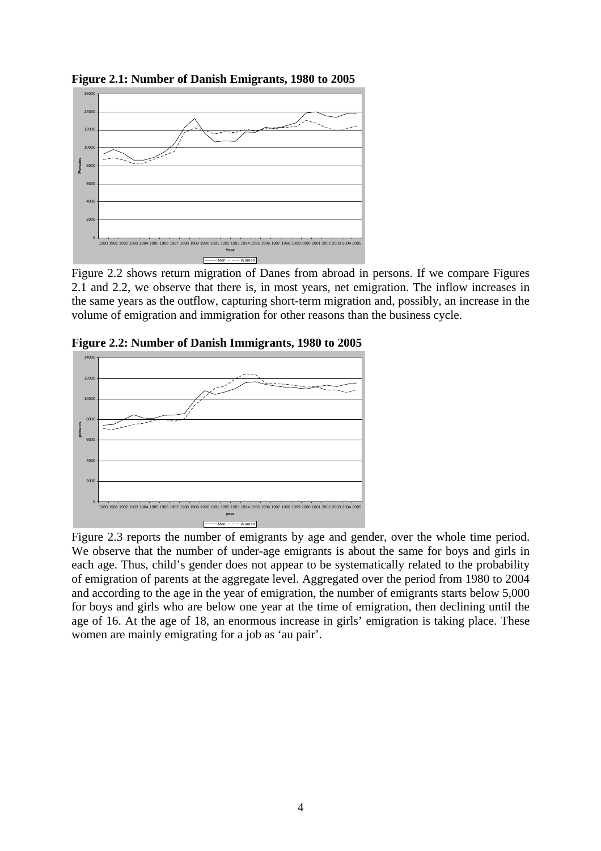**Figure 2.1: Number of Danish Emigrants, 1980 to 2005** 



Figure 2.2 shows return migration of Danes from abroad in persons. If we compare Figures 2.1 and 2.2, we observe that there is, in most years, net emigration. The inflow increases in the same years as the outflow, capturing short-term migration and, possibly, an increase in the volume of emigration and immigration for other reasons than the business cycle.



**Figure 2.2: Number of Danish Immigrants, 1980 to 2005** 

Figure 2.3 reports the number of emigrants by age and gender, over the whole time period. We observe that the number of under-age emigrants is about the same for boys and girls in each age. Thus, child's gender does not appear to be systematically related to the probability of emigration of parents at the aggregate level. Aggregated over the period from 1980 to 2004 and according to the age in the year of emigration, the number of emigrants starts below 5,000 for boys and girls who are below one year at the time of emigration, then declining until the age of 16. At the age of 18, an enormous increase in girls' emigration is taking place. These women are mainly emigrating for a job as 'au pair'.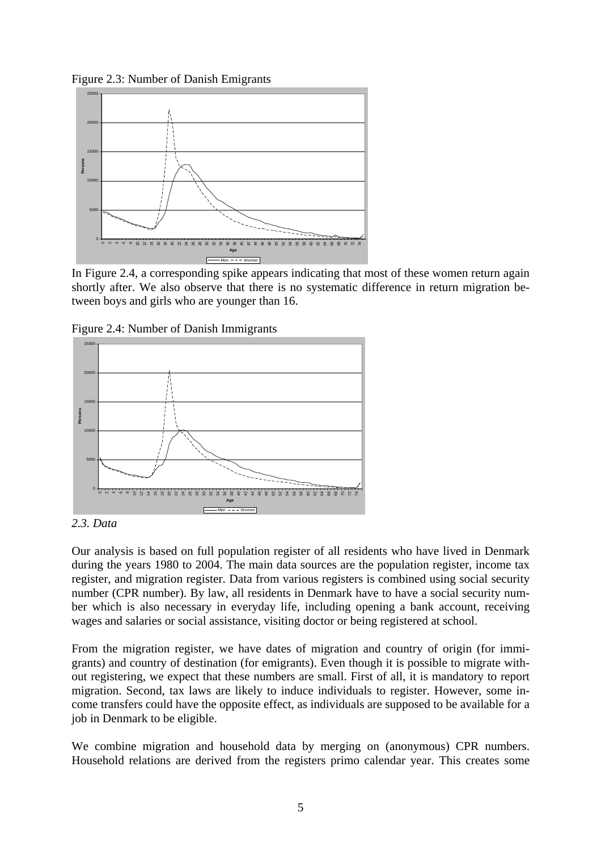Figure 2.3: Number of Danish Emigrants



In Figure 2.4, a corresponding spike appears indicating that most of these women return again shortly after. We also observe that there is no systematic difference in return migration between boys and girls who are younger than 16.





*<sup>2.3.</sup> Data* 

Our analysis is based on full population register of all residents who have lived in Denmark during the years 1980 to 2004. The main data sources are the population register, income tax register, and migration register. Data from various registers is combined using social security number (CPR number). By law, all residents in Denmark have to have a social security number which is also necessary in everyday life, including opening a bank account, receiving wages and salaries or social assistance, visiting doctor or being registered at school.

From the migration register, we have dates of migration and country of origin (for immigrants) and country of destination (for emigrants). Even though it is possible to migrate without registering, we expect that these numbers are small. First of all, it is mandatory to report migration. Second, tax laws are likely to induce individuals to register. However, some income transfers could have the opposite effect, as individuals are supposed to be available for a job in Denmark to be eligible.

We combine migration and household data by merging on (anonymous) CPR numbers. Household relations are derived from the registers primo calendar year. This creates some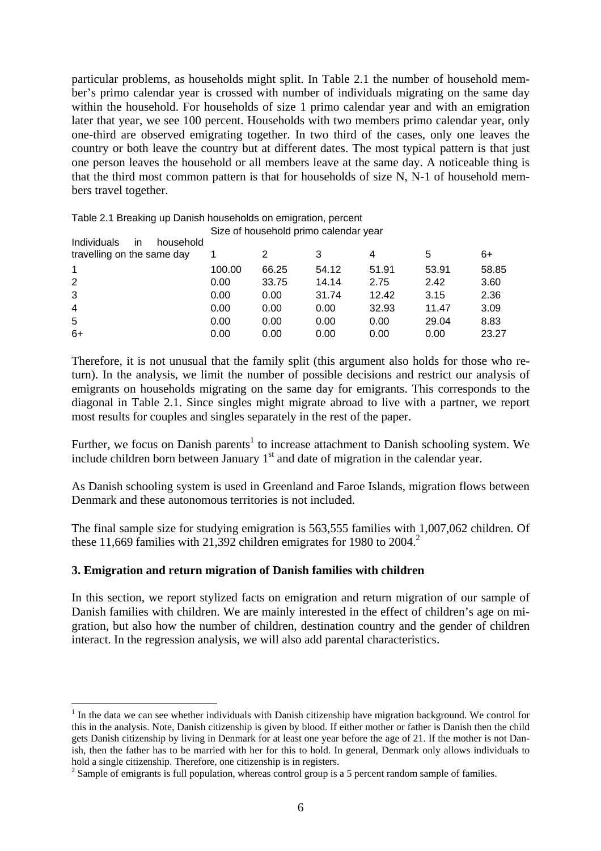particular problems, as households might split. In Table 2.1 the number of household member's primo calendar year is crossed with number of individuals migrating on the same day within the household. For households of size 1 primo calendar year and with an emigration later that year, we see 100 percent. Households with two members primo calendar year, only one-third are observed emigrating together. In two third of the cases, only one leaves the country or both leave the country but at different dates. The most typical pattern is that just one person leaves the household or all members leave at the same day. A noticeable thing is that the third most common pattern is that for households of size N, N-1 of household members travel together.

Table 2.1 Breaking up Danish households on emigration, percent Size of household primo calendar year

| Individuals<br>household<br>in. |        |       |       |       |       |       |
|---------------------------------|--------|-------|-------|-------|-------|-------|
| travelling on the same day      |        |       | 3     | 4     | 5     | 6+    |
| $\mathbf{1}$                    | 100.00 | 66.25 | 54.12 | 51.91 | 53.91 | 58.85 |
| 2                               | 0.00   | 33.75 | 14.14 | 2.75  | 2.42  | 3.60  |
| 3                               | 0.00   | 0.00  | 31.74 | 12.42 | 3.15  | 2.36  |
| $\overline{4}$                  | 0.00   | 0.00  | 0.00  | 32.93 | 11.47 | 3.09  |
| 5                               | 0.00   | 0.00  | 0.00  | 0.00  | 29.04 | 8.83  |
| $6+$                            | 0.00   | 0.00  | 0.00  | 0.00  | 0.00  | 23.27 |

Therefore, it is not unusual that the family split (this argument also holds for those who return). In the analysis, we limit the number of possible decisions and restrict our analysis of emigrants on households migrating on the same day for emigrants. This corresponds to the diagonal in Table 2.1. Since singles might migrate abroad to live with a partner, we report most results for couples and singles separately in the rest of the paper.

Further, we focus on Danish parents<sup>1</sup> to increase attachment to Danish schooling system. We include children born between January  $1<sup>st</sup>$  and date of migration in the calendar year.

As Danish schooling system is used in Greenland and Faroe Islands, migration flows between Denmark and these autonomous territories is not included.

The final sample size for studying emigration is 563,555 families with 1,007,062 children. Of these 11,669 families with 21,392 children emigrates for 1980 to  $2004$ <sup>2</sup>

#### **3. Emigration and return migration of Danish families with children**

 $\overline{a}$ 

In this section, we report stylized facts on emigration and return migration of our sample of Danish families with children. We are mainly interested in the effect of children's age on migration, but also how the number of children, destination country and the gender of children interact. In the regression analysis, we will also add parental characteristics.

<span id="page-5-0"></span> $<sup>1</sup>$  In the data we can see whether individuals with Danish citizenship have migration background. We control for</sup> this in the analysis. Note, Danish citizenship is given by blood. If either mother or father is Danish then the child gets Danish citizenship by living in Denmark for at least one year before the age of 21. If the mother is not Danish, then the father has to be married with her for this to hold. In general, Denmark only allows individuals to hold a single citizenship. Therefore, one citizenship is in registers. 2

<span id="page-5-1"></span> $\degree$  Sample of emigrants is full population, whereas control group is a 5 percent random sample of families.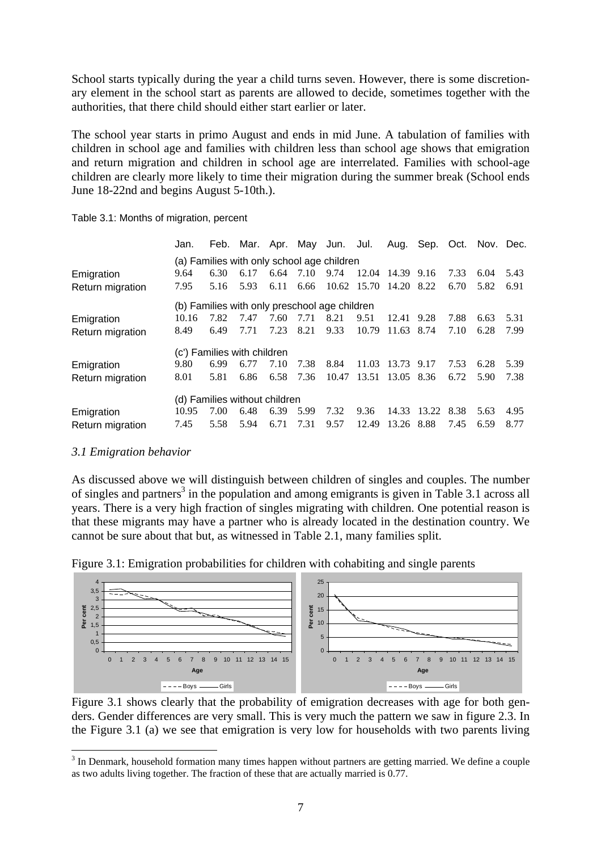School starts typically during the year a child turns seven. However, there is some discretionary element in the school start as parents are allowed to decide, sometimes together with the authorities, that there child should either start earlier or later.

The school year starts in primo August and ends in mid June. A tabulation of families with children in school age and families with children less than school age shows that emigration and return migration and children in school age are interrelated. Families with school-age children are clearly more likely to time their migration during the summer break (School ends June 18-22nd and begins August 5-10th.).

|                  | Jan.                                          |      |      |      |      | Feb. Mar. Apr. May Jun. Jul. |       |            | Aug. Sep. Oct. Nov. Dec. |      |      |      |
|------------------|-----------------------------------------------|------|------|------|------|------------------------------|-------|------------|--------------------------|------|------|------|
|                  | (a) Families with only school age children    |      |      |      |      |                              |       |            |                          |      |      |      |
| Emigration       | 9.64                                          | 6.30 | 6.17 | 6.64 | 7.10 | 9.74                         | 12.04 | 14.39 9.16 |                          | 7.33 | 6.04 | 5.43 |
| Return migration | 7.95                                          | 5.16 | 5.93 | 6.11 | 6.66 | 10.62                        | 15.70 | 14.20 8.22 |                          | 6.70 | 5.82 | 6.91 |
|                  | (b) Families with only preschool age children |      |      |      |      |                              |       |            |                          |      |      |      |
| Emigration       | 10.16                                         | 7.82 | 7.47 | 7.60 | 7.71 | 8.21                         | 9.51  | 12.41      | 9.28                     | 7.88 | 6.63 | 5.31 |
| Return migration | 8.49                                          | 6.49 | 7.71 | 7.23 | 8.21 | 9.33                         | 10.79 | 11.63      | 8.74                     | 7.10 | 6.28 | 7.99 |
|                  | (c') Families with children                   |      |      |      |      |                              |       |            |                          |      |      |      |
| Emigration       | 9.80                                          | 6.99 | 6.77 | 7.10 | 7.38 | 8.84                         | 11.03 | 13.73      | 9.17                     | 7.53 | 6.28 | 5.39 |
| Return migration | 8.01                                          | 5.81 | 6.86 | 6.58 | 7.36 | 10.47                        | 13.51 | 13.05 8.36 |                          | 6.72 | 5.90 | 7.38 |
|                  | (d) Families without children                 |      |      |      |      |                              |       |            |                          |      |      |      |
| Emigration       | 10.95                                         | 7.00 | 6.48 | 6.39 | 5.99 | 7.32                         | 9.36  | 14.33      | 13.22                    | 8.38 | 5.63 | 4.95 |
| Return migration | 7.45                                          | 5.58 | 5.94 | 6.71 | 7.31 | 9.57                         | 12.49 | 13.26      | 8.88                     | 7.45 | 6.59 | 8.77 |

Table 3.1: Months of migration, percent

#### *3.1 Emigration behavior*

 $\overline{a}$ 

As discussed above we will distinguish between children of singles and couples. The number of singles and partners<sup>3</sup> in the population and among emigrants is given in Table 3.1 across all years. There is a very high fraction of singles migrating with children. One potential reason is that these migrants may have a partner who is already located in the destination country. We cannot be sure about that but, as witnessed in Table 2.1, many families split.





Figure 3.1 shows clearly that the probability of emigration decreases with age for both genders. Gender differences are very small. This is very much the pattern we saw in figure 2.3. In the Figure 3.1 (a) we see that emigration is very low for households with two parents living

<span id="page-6-0"></span> $3$  In Denmark, household formation many times happen without partners are getting married. We define a couple as two adults living together. The fraction of these that are actually married is 0.77.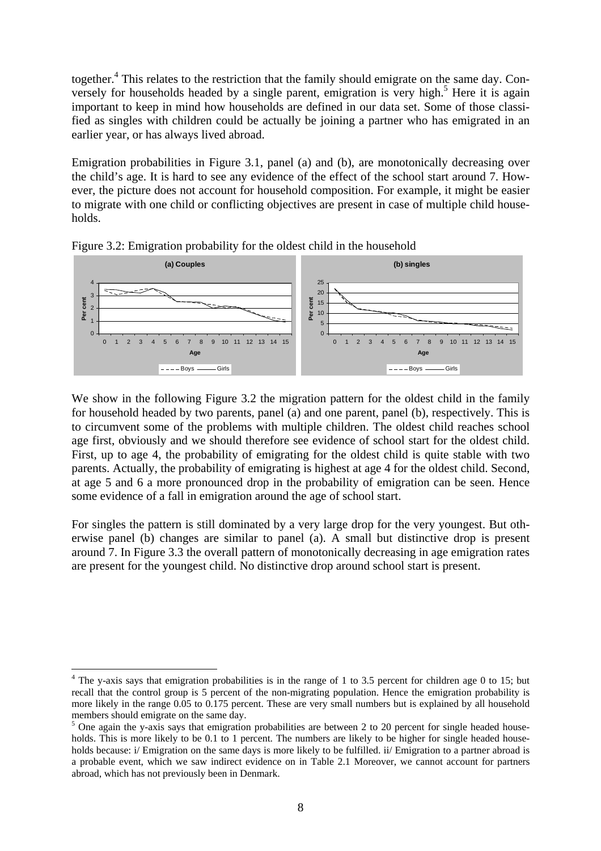together.<sup>4</sup> This relates to the restriction that the family should emigrate on the same day. Conversely for households headed by a single parent, emigration is very high.<sup>5</sup> Here it is again important to keep in mind how households are defined in our data set. Some of those classified as singles with children could be actually be joining a partner who has emigrated in an earlier year, or has always lived abroad.

Emigration probabilities in Figure 3.1, panel (a) and (b), are monotonically decreasing over the child's age. It is hard to see any evidence of the effect of the school start around 7. However, the picture does not account for household composition. For example, it might be easier to migrate with one child or conflicting objectives are present in case of multiple child households.



Figure 3.2: Emigration probability for the oldest child in the household

We show in the following Figure 3.2 the migration pattern for the oldest child in the family for household headed by two parents, panel (a) and one parent, panel (b), respectively. This is to circumvent some of the problems with multiple children. The oldest child reaches school age first, obviously and we should therefore see evidence of school start for the oldest child. First, up to age 4, the probability of emigrating for the oldest child is quite stable with two parents. Actually, the probability of emigrating is highest at age 4 for the oldest child. Second, at age 5 and 6 a more pronounced drop in the probability of emigration can be seen. Hence some evidence of a fall in emigration around the age of school start.

For singles the pattern is still dominated by a very large drop for the very youngest. But otherwise panel (b) changes are similar to panel (a). A small but distinctive drop is present around 7. In Figure 3.3 the overall pattern of monotonically decreasing in age emigration rates are present for the youngest child. No distinctive drop around school start is present.

 $\overline{a}$ 

<span id="page-7-0"></span> $4$  The y-axis says that emigration probabilities is in the range of 1 to 3.5 percent for children age 0 to 15; but recall that the control group is 5 percent of the non-migrating population. Hence the emigration probability is more likely in the range 0.05 to 0.175 percent. These are very small numbers but is explained by all household members should emigrate on the same day.

<span id="page-7-1"></span> $5$  One again the y-axis says that emigration probabilities are between 2 to 20 percent for single headed households. This is more likely to be 0.1 to 1 percent. The numbers are likely to be higher for single headed households because: i/ Emigration on the same days is more likely to be fulfilled. ii/ Emigration to a partner abroad is a probable event, which we saw indirect evidence on in Table 2.1 Moreover, we cannot account for partners abroad, which has not previously been in Denmark.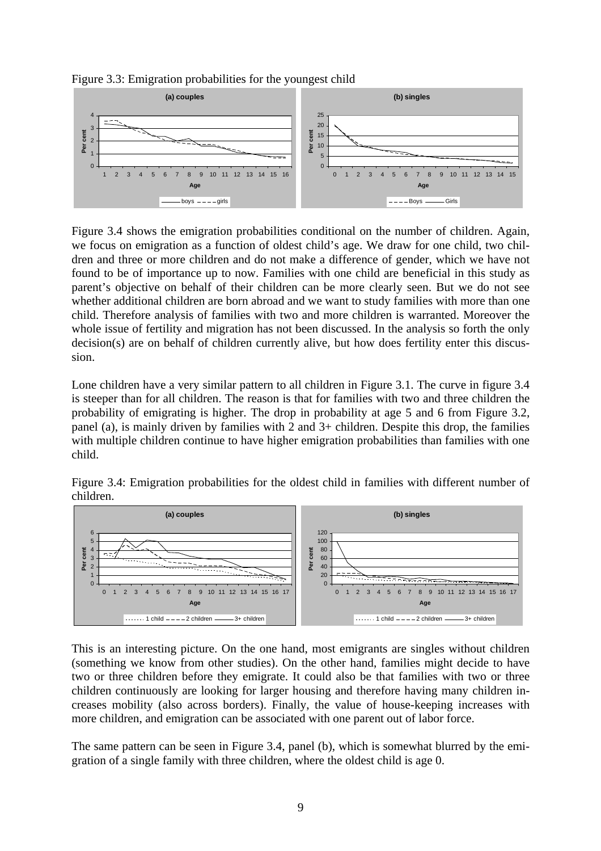

Figure 3.4 shows the emigration probabilities conditional on the number of children. Again, we focus on emigration as a function of oldest child's age. We draw for one child, two children and three or more children and do not make a difference of gender, which we have not found to be of importance up to now. Families with one child are beneficial in this study as parent's objective on behalf of their children can be more clearly seen. But we do not see whether additional children are born abroad and we want to study families with more than one child. Therefore analysis of families with two and more children is warranted. Moreover the whole issue of fertility and migration has not been discussed. In the analysis so forth the only decision(s) are on behalf of children currently alive, but how does fertility enter this discussion.

Lone children have a very similar pattern to all children in Figure 3.1. The curve in figure 3.4 is steeper than for all children. The reason is that for families with two and three children the probability of emigrating is higher. The drop in probability at age 5 and 6 from Figure 3.2, panel (a), is mainly driven by families with 2 and 3+ children. Despite this drop, the families with multiple children continue to have higher emigration probabilities than families with one child.

Figure 3.4: Emigration probabilities for the oldest child in families with different number of children.



This is an interesting picture. On the one hand, most emigrants are singles without children (something we know from other studies). On the other hand, families might decide to have two or three children before they emigrate. It could also be that families with two or three children continuously are looking for larger housing and therefore having many children increases mobility (also across borders). Finally, the value of house-keeping increases with more children, and emigration can be associated with one parent out of labor force.

The same pattern can be seen in Figure 3.4, panel (b), which is somewhat blurred by the emigration of a single family with three children, where the oldest child is age 0.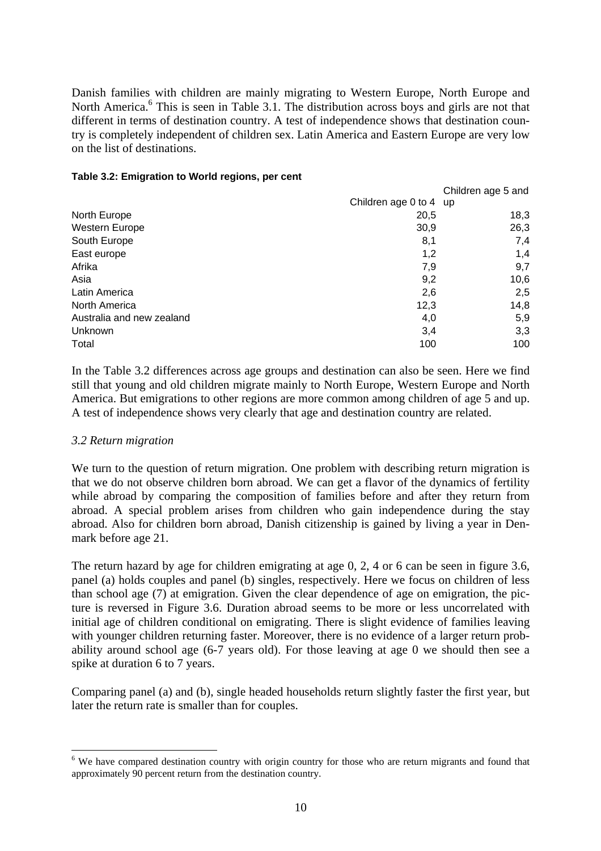Danish families with children are mainly migrating to Western Europe, North Europe and North America.<sup>[6](#page-9-0)</sup> This is seen in Table 3.1. The distribution across boys and girls are not that different in terms of destination country. A test of independence shows that destination country is completely independent of children sex. Latin America and Eastern Europe are very low on the list of destinations.

#### **Table 3.2: Emigration to World regions, per cent**

|                           |                        | Children age 5 and |
|---------------------------|------------------------|--------------------|
|                           | Children age 0 to 4 up |                    |
| North Europe              | 20,5                   | 18,3               |
| Western Europe            | 30,9                   | 26,3               |
| South Europe              | 8,1                    | 7,4                |
| East europe               | 1,2                    | 1,4                |
| Afrika                    | 7,9                    | 9,7                |
| Asia                      | 9,2                    | 10,6               |
| Latin America             | 2,6                    | 2,5                |
| North America             | 12,3                   | 14,8               |
| Australia and new zealand | 4,0                    | 5,9                |
| Unknown                   | 3,4                    | 3,3                |
| Total                     | 100                    | 100                |

In the Table 3.2 differences across age groups and destination can also be seen. Here we find still that young and old children migrate mainly to North Europe, Western Europe and North America. But emigrations to other regions are more common among children of age 5 and up. A test of independence shows very clearly that age and destination country are related.

#### *3.2 Return migration*

 $\overline{a}$ 

We turn to the question of return migration. One problem with describing return migration is that we do not observe children born abroad. We can get a flavor of the dynamics of fertility while abroad by comparing the composition of families before and after they return from abroad. A special problem arises from children who gain independence during the stay abroad. Also for children born abroad, Danish citizenship is gained by living a year in Denmark before age 21.

The return hazard by age for children emigrating at age 0, 2, 4 or 6 can be seen in figure 3.6, panel (a) holds couples and panel (b) singles, respectively. Here we focus on children of less than school age (7) at emigration. Given the clear dependence of age on emigration, the picture is reversed in Figure 3.6. Duration abroad seems to be more or less uncorrelated with initial age of children conditional on emigrating. There is slight evidence of families leaving with younger children returning faster. Moreover, there is no evidence of a larger return probability around school age (6-7 years old). For those leaving at age 0 we should then see a spike at duration 6 to 7 years.

Comparing panel (a) and (b), single headed households return slightly faster the first year, but later the return rate is smaller than for couples.

<span id="page-9-0"></span><sup>&</sup>lt;sup>6</sup> We have compared destination country with origin country for those who are return migrants and found that approximately 90 percent return from the destination country.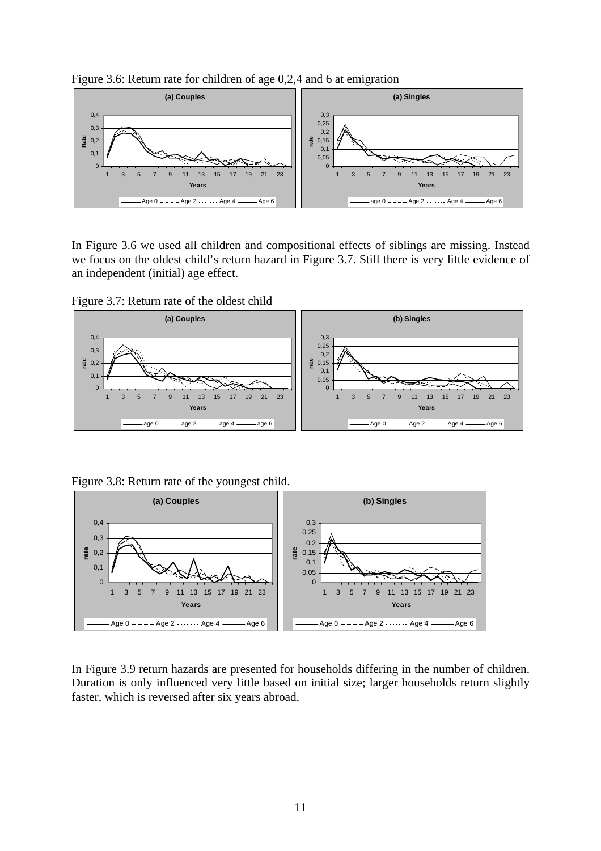

Figure 3.6: Return rate for children of age 0,2,4 and 6 at emigration

In Figure 3.6 we used all children and compositional effects of siblings are missing. Instead we focus on the oldest child's return hazard in Figure 3.7. Still there is very little evidence of an independent (initial) age effect.

Figure 3.7: Return rate of the oldest child



Figure 3.8: Return rate of the youngest child.



In Figure 3.9 return hazards are presented for households differing in the number of children. Duration is only influenced very little based on initial size; larger households return slightly faster, which is reversed after six years abroad.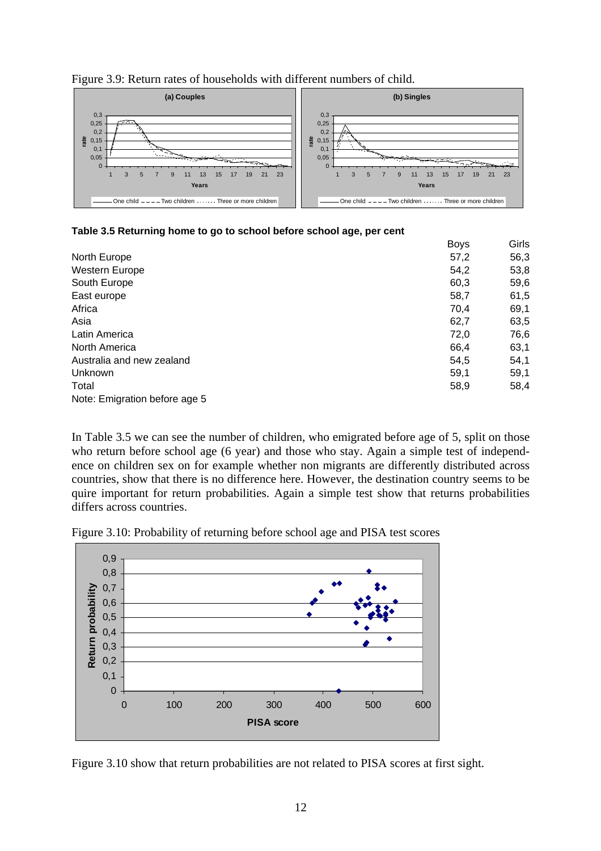

![](_page_11_Figure_1.jpeg)

#### **Table 3.5 Returning home to go to school before school age, per cent**

|                               | <b>Boys</b> | Girls |
|-------------------------------|-------------|-------|
| North Europe                  | 57,2        | 56,3  |
| Western Europe                | 54,2        | 53,8  |
| South Europe                  | 60,3        | 59,6  |
| East europe                   | 58,7        | 61,5  |
| Africa                        | 70,4        | 69,1  |
| Asia                          | 62,7        | 63,5  |
| Latin America                 | 72,0        | 76,6  |
| North America                 | 66,4        | 63,1  |
| Australia and new zealand     | 54,5        | 54,1  |
| Unknown                       | 59,1        | 59,1  |
| Total                         | 58,9        | 58,4  |
| Note: Emigration before age 5 |             |       |

In Table 3.5 we can see the number of children, who emigrated before age of 5, split on those who return before school age (6 year) and those who stay. Again a simple test of independence on children sex on for example whether non migrants are differently distributed across countries, show that there is no difference here. However, the destination country seems to be quire important for return probabilities. Again a simple test show that returns probabilities differs across countries.

![](_page_11_Figure_5.jpeg)

![](_page_11_Figure_6.jpeg)

Figure 3.10 show that return probabilities are not related to PISA scores at first sight.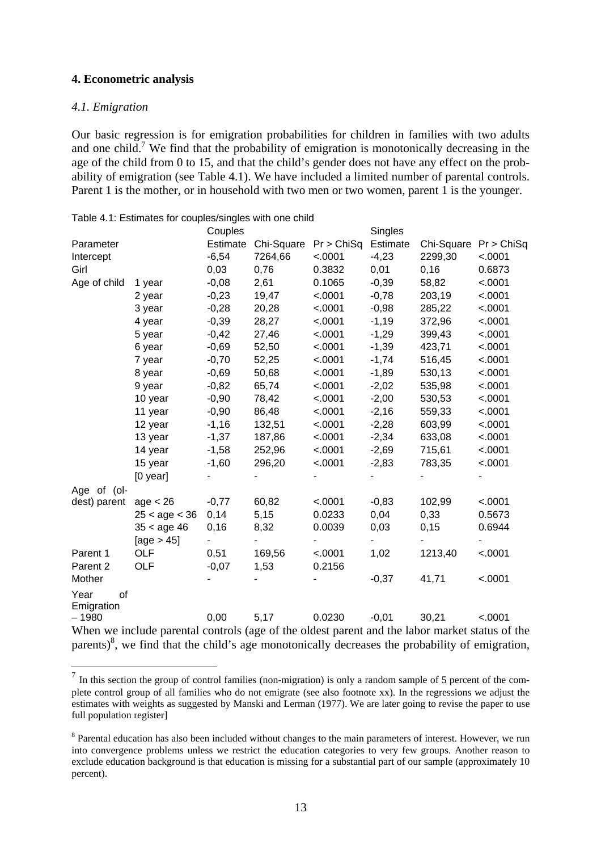#### **4. Econometric analysis**

#### *4.1. Emigration*

 $\overline{a}$ 

Our basic regression is for emigration probabilities for children in families with two adults and one child.<sup>[7](#page-12-0)</sup> We find that the probability of emigration is monotonically decreasing in the age of the child from 0 to 15, and that the child's gender does not have any effect on the probability of emigration (see Table 4.1). We have included a limited number of parental controls. Parent 1 is the mother, or in household with two men or two women, parent 1 is the younger.

|              |                                                                                                             | Couples  |                       |         | Singles  |                       |         |
|--------------|-------------------------------------------------------------------------------------------------------------|----------|-----------------------|---------|----------|-----------------------|---------|
| Parameter    |                                                                                                             | Estimate | Chi-Square Pr > ChiSq |         | Estimate | Chi-Square Pr > ChiSq |         |
| Intercept    |                                                                                                             | $-6,54$  | 7264,66               | < .0001 | $-4,23$  | 2299,30               | < .0001 |
| Girl         |                                                                                                             | 0,03     | 0,76                  | 0.3832  | 0,01     | 0, 16                 | 0.6873  |
| Age of child | 1 year                                                                                                      | $-0,08$  | 2,61                  | 0.1065  | $-0,39$  | 58,82                 | < .0001 |
|              | 2 year                                                                                                      | $-0,23$  | 19,47                 | < .0001 | $-0,78$  | 203,19                | < .0001 |
|              | 3 year                                                                                                      | $-0,28$  | 20,28                 | < .0001 | $-0,98$  | 285,22                | < .0001 |
|              | 4 year                                                                                                      | $-0,39$  | 28,27                 | < .0001 | $-1,19$  | 372,96                | < .0001 |
|              | 5 year                                                                                                      | $-0,42$  | 27,46                 | < .0001 | $-1,29$  | 399,43                | < .0001 |
|              | 6 year                                                                                                      | $-0,69$  | 52,50                 | < .0001 | $-1,39$  | 423,71                | < .0001 |
|              | 7 year                                                                                                      | $-0,70$  | 52,25                 | < .0001 | $-1,74$  | 516,45                | < .0001 |
|              | 8 year                                                                                                      | $-0,69$  | 50,68                 | < .0001 | $-1,89$  | 530,13                | < .0001 |
|              | 9 year                                                                                                      | $-0,82$  | 65,74                 | < .0001 | $-2,02$  | 535,98                | < .0001 |
|              | 10 year                                                                                                     | $-0,90$  | 78,42                 | < .0001 | $-2,00$  | 530,53                | < .0001 |
|              | 11 year                                                                                                     | $-0,90$  | 86,48                 | < .0001 | $-2,16$  | 559,33                | < .0001 |
|              | 12 year                                                                                                     | $-1,16$  | 132,51                | < .0001 | $-2,28$  | 603,99                | < .0001 |
|              | 13 year                                                                                                     | $-1,37$  | 187,86                | < .0001 | $-2,34$  | 633,08                | < .0001 |
|              | 14 year                                                                                                     | $-1,58$  | 252,96                | < .0001 | $-2,69$  | 715,61                | < .0001 |
|              | 15 year                                                                                                     | $-1,60$  | 296,20                | < .0001 | $-2,83$  | 783,35                | < .0001 |
|              | $[0$ year]                                                                                                  |          |                       |         |          |                       |         |
| Age of (ol-  |                                                                                                             |          |                       |         |          |                       |         |
| dest) parent | age < 26                                                                                                    | $-0,77$  | 60,82                 | < .0001 | $-0,83$  | 102,99                | < .0001 |
|              | $25 <$ age $< 36$                                                                                           | 0,14     | 5,15                  | 0.0233  | 0,04     | 0,33                  | 0.5673  |
|              | $35 <$ age 46                                                                                               | 0, 16    | 8,32                  | 0.0039  | 0,03     | 0,15                  | 0.6944  |
|              | [age $> 45$ ]                                                                                               |          |                       |         |          |                       |         |
| Parent 1     | <b>OLF</b>                                                                                                  | 0,51     | 169,56                | < .0001 | 1,02     | 1213,40               | < .0001 |
| Parent 2     | OLF                                                                                                         | $-0,07$  | 1,53                  | 0.2156  |          |                       |         |
| Mother       |                                                                                                             |          |                       |         | $-0,37$  | 41,71                 | < .0001 |
| Year<br>of   |                                                                                                             |          |                       |         |          |                       |         |
| Emigration   |                                                                                                             |          |                       |         |          |                       |         |
| $-1980$      |                                                                                                             | 0,00     | 5,17                  | 0.0230  | $-0,01$  | 30,21                 | < .0001 |
|              | When we include parental controls (age of the oldest parent and the labor market status of the              |          |                       |         |          |                       |         |
|              | parents) <sup>8</sup> , we find that the child's age monotonically decreases the probability of emigration, |          |                       |         |          |                       |         |

Table 4.1: Estimates for couples/singles with one child

<span id="page-12-0"></span> $<sup>7</sup>$  In this section the group of control families (non-migration) is only a random sample of 5 percent of the com-</sup> plete control group of all families who do not emigrate (see also footnote xx). In the regressions we adjust the estimates with weights as suggested by Manski and Lerman (1977). We are later going to revise the paper to use full population register]

<span id="page-12-1"></span><sup>&</sup>lt;sup>8</sup> Parental education has also been included without changes to the main parameters of interest. However, we run into convergence problems unless we restrict the education categories to very few groups. Another reason to exclude education background is that education is missing for a substantial part of our sample (approximately 10 percent).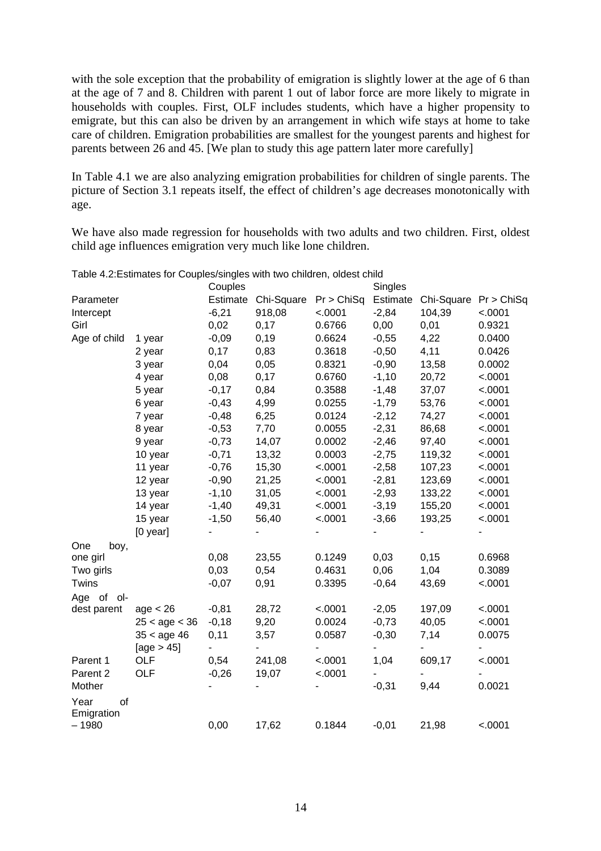with the sole exception that the probability of emigration is slightly lower at the age of 6 than at the age of 7 and 8. Children with parent 1 out of labor force are more likely to migrate in households with couples. First, OLF includes students, which have a higher propensity to emigrate, but this can also be driven by an arrangement in which wife stays at home to take care of children. Emigration probabilities are smallest for the youngest parents and highest for parents between 26 and 45. [We plan to study this age pattern later more carefully]

In Table 4.1 we are also analyzing emigration probabilities for children of single parents. The picture of Section 3.1 repeats itself, the effect of children's age decreases monotonically with age.

We have also made regression for households with two adults and two children. First, oldest child age influences emigration very much like lone children.

|                          |                   | Couples |                     |            | Singles  |                       |         |
|--------------------------|-------------------|---------|---------------------|------------|----------|-----------------------|---------|
| Parameter                |                   |         | Estimate Chi-Square | Pr > ChiSq | Estimate | Chi-Square Pr > ChiSq |         |
| Intercept                |                   | $-6,21$ | 918,08              | < .0001    | $-2,84$  | 104,39                | < .0001 |
| Girl                     |                   | 0,02    | 0,17                | 0.6766     | 0,00     | 0,01                  | 0.9321  |
| Age of child             | 1 year            | $-0,09$ | 0,19                | 0.6624     | $-0,55$  | 4,22                  | 0.0400  |
|                          | 2 year            | 0,17    | 0,83                | 0.3618     | $-0,50$  | 4,11                  | 0.0426  |
|                          | 3 year            | 0,04    | 0,05                | 0.8321     | $-0,90$  | 13,58                 | 0.0002  |
|                          | 4 year            | 0,08    | 0,17                | 0.6760     | $-1,10$  | 20,72                 | < .0001 |
|                          | 5 year            | $-0,17$ | 0,84                | 0.3588     | $-1,48$  | 37,07                 | < .0001 |
|                          | 6 year            | $-0,43$ | 4,99                | 0.0255     | $-1,79$  | 53,76                 | < .0001 |
|                          | 7 year            | $-0,48$ | 6,25                | 0.0124     | $-2,12$  | 74,27                 | < .0001 |
|                          | 8 year            | $-0,53$ | 7,70                | 0.0055     | $-2,31$  | 86,68                 | < .0001 |
|                          | 9 year            | $-0,73$ | 14,07               | 0.0002     | $-2,46$  | 97,40                 | < .0001 |
|                          | 10 year           | $-0,71$ | 13,32               | 0.0003     | $-2,75$  | 119,32                | < .0001 |
|                          | 11 year           | $-0,76$ | 15,30               | < .0001    | $-2,58$  | 107,23                | < .0001 |
|                          | 12 year           | $-0,90$ | 21,25               | < .0001    | $-2,81$  | 123,69                | < .0001 |
|                          | 13 year           | $-1,10$ | 31,05               | < .0001    | $-2,93$  | 133,22                | < .0001 |
|                          | 14 year           | $-1,40$ | 49,31               | < .0001    | $-3,19$  | 155,20                | < .0001 |
|                          | 15 year           | $-1,50$ | 56,40               | < .0001    | $-3,66$  | 193,25                | < .0001 |
|                          | $[0$ year]        |         |                     |            |          |                       |         |
| One<br>boy,              |                   |         |                     |            |          |                       |         |
| one girl                 |                   | 0,08    | 23,55               | 0.1249     | 0,03     | 0, 15                 | 0.6968  |
| Two girls                |                   | 0,03    | 0,54                | 0.4631     | 0,06     | 1,04                  | 0.3089  |
| Twins                    |                   | $-0,07$ | 0,91                | 0.3395     | $-0,64$  | 43,69                 | < .0001 |
| Age of ol-               |                   |         |                     |            |          |                       |         |
| dest parent              | age < 26          | $-0,81$ | 28,72               | < .0001    | $-2,05$  | 197,09                | < .0001 |
|                          | $25 <$ age $< 36$ | $-0,18$ | 9,20                | 0.0024     | $-0,73$  | 40,05                 | < .0001 |
|                          | $35 <$ age 46     | 0,11    | 3,57                | 0.0587     | $-0,30$  | 7,14                  | 0.0075  |
|                          | [age > 45]        |         |                     |            |          |                       |         |
| Parent 1                 | OLF               | 0,54    | 241,08              | < .0001    | 1,04     | 609,17                | < .0001 |
| Parent 2                 | OLF               | $-0,26$ | 19,07               | < .0001    |          |                       |         |
| Mother                   |                   |         |                     |            | $-0,31$  | 9,44                  | 0.0021  |
| Year<br>of<br>Emigration |                   |         |                     |            |          |                       |         |
| $-1980$                  |                   | 0,00    | 17,62               | 0.1844     | $-0,01$  | 21,98                 | < .0001 |

Table 4.2:Estimates for Couples/singles with two children, oldest child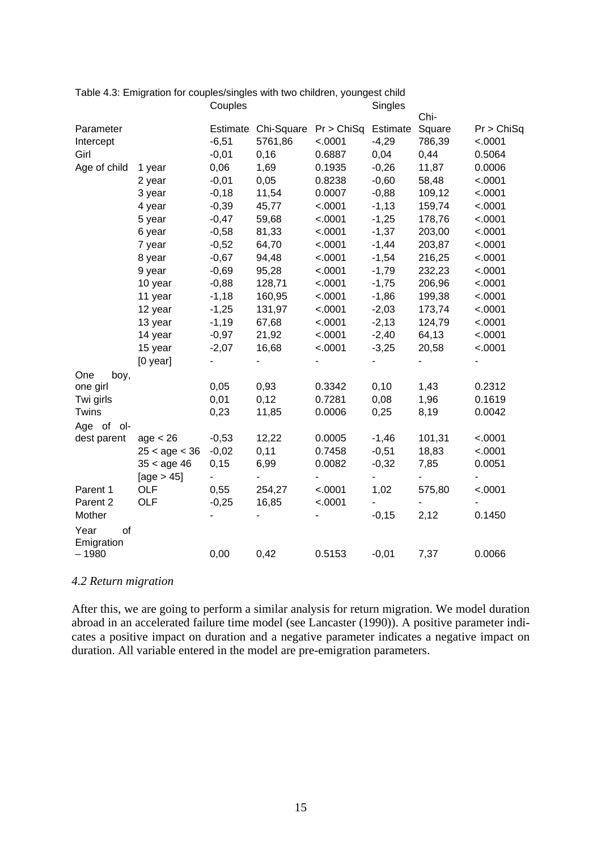|              |                   | Couples |                     |            | əiriyles |        |            |
|--------------|-------------------|---------|---------------------|------------|----------|--------|------------|
|              |                   |         |                     |            |          | Chi-   |            |
| Parameter    |                   |         | Estimate Chi-Square | Pr > ChiSq | Estimate | Square | Pr > ChiSq |
| Intercept    |                   | $-6,51$ | 5761,86             | < .0001    | $-4,29$  | 786,39 | < .0001    |
| Girl         |                   | $-0,01$ | 0, 16               | 0.6887     | 0,04     | 0,44   | 0.5064     |
| Age of child | 1 year            | 0,06    | 1,69                | 0.1935     | $-0,26$  | 11,87  | 0.0006     |
|              | 2 year            | $-0,01$ | 0,05                | 0.8238     | $-0,60$  | 58,48  | < .0001    |
|              | 3 year            | $-0,18$ | 11,54               | 0.0007     | $-0,88$  | 109,12 | < .0001    |
|              | 4 year            | $-0,39$ | 45,77               | < .0001    | $-1,13$  | 159,74 | < .0001    |
|              | 5 year            | $-0,47$ | 59,68               | < .0001    | $-1,25$  | 178,76 | < .0001    |
|              | 6 year            | $-0,58$ | 81,33               | < .0001    | $-1,37$  | 203,00 | < .0001    |
|              | 7 year            | $-0,52$ | 64,70               | < .0001    | $-1,44$  | 203,87 | < .0001    |
|              | 8 year            | $-0,67$ | 94,48               | < .0001    | $-1,54$  | 216,25 | < .0001    |
|              | 9 year            | $-0,69$ | 95,28               | < .0001    | $-1,79$  | 232,23 | < .0001    |
|              | 10 year           | $-0,88$ | 128,71              | < .0001    | $-1,75$  | 206,96 | < .0001    |
|              | 11 year           | $-1,18$ | 160,95              | < .0001    | $-1,86$  | 199,38 | < .0001    |
|              | 12 year           | $-1,25$ | 131,97              | < .0001    | $-2,03$  | 173,74 | < .0001    |
|              | 13 year           | $-1,19$ | 67,68               | < .0001    | $-2,13$  | 124,79 | < .0001    |
|              | 14 year           | $-0,97$ | 21,92               | < .0001    | $-2,40$  | 64,13  | < .0001    |
|              | 15 year           | $-2,07$ | 16,68               | < .0001    | $-3,25$  | 20,58  | < .0001    |
|              | $[0$ year]        |         |                     |            |          |        |            |
| One<br>boy,  |                   |         |                     |            |          |        |            |
| one girl     |                   | 0,05    | 0,93                | 0.3342     | 0,10     | 1,43   | 0.2312     |
| Twi girls    |                   | 0,01    | 0,12                | 0.7281     | 0,08     | 1,96   | 0.1619     |
| Twins        |                   | 0,23    | 11,85               | 0.0006     | 0,25     | 8,19   | 0.0042     |
| Age of ol-   |                   |         |                     |            |          |        |            |
| dest parent  | age < 26          | $-0,53$ | 12,22               | 0.0005     | $-1,46$  | 101,31 | < .0001    |
|              | $25 <$ age $< 36$ | $-0,02$ | 0,11                | 0.7458     | $-0,51$  | 18,83  | < .0001    |
|              | $35 <$ age 46     | 0,15    | 6,99                | 0.0082     | $-0,32$  | 7,85   | 0.0051     |
|              | [age $> 45$ ]     |         |                     |            |          |        |            |
| Parent 1     | OLF               | 0,55    | 254,27              | < .0001    | 1,02     | 575,80 | < .0001    |
| Parent 2     | <b>OLF</b>        | $-0,25$ | 16,85               | < .0001    |          |        |            |
| Mother       |                   |         |                     |            | $-0,15$  | 2,12   | 0.1450     |
| Year<br>of   |                   |         |                     |            |          |        |            |
| Emigration   |                   |         |                     |            |          |        |            |
| $-1980$      |                   | 0,00    | 0,42                | 0.5153     | $-0,01$  | 7,37   | 0.0066     |
|              |                   |         |                     |            |          |        |            |

#### Table 4.3: Emigration for couples/singles with two children, youngest child<br>Couples Couples S

#### *4.2 Return migration*

After this, we are going to perform a similar analysis for return migration. We model duration abroad in an accelerated failure time model (see Lancaster (1990)). A positive parameter indicates a positive impact on duration and a negative parameter indicates a negative impact on duration. All variable entered in the model are pre-emigration parameters.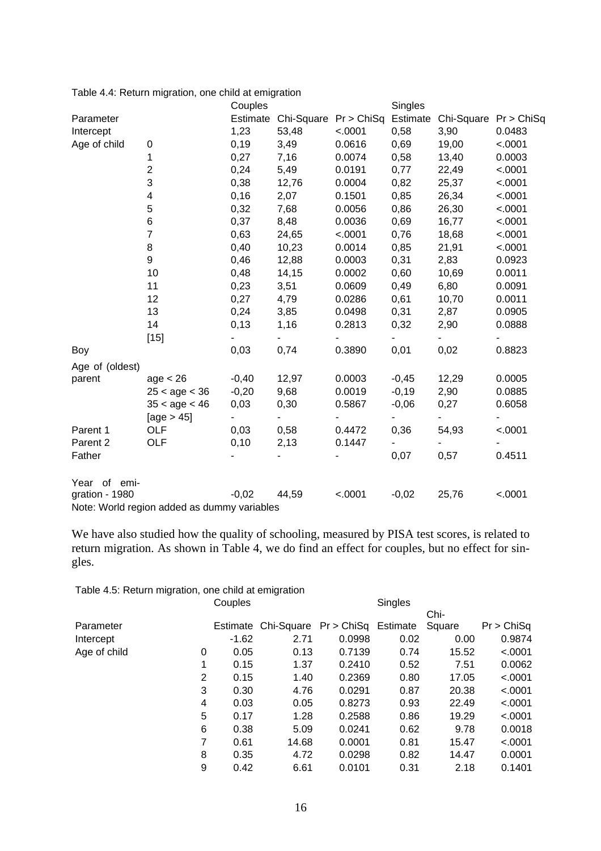| Table 4.4: Return migration, one child at emigration |  |
|------------------------------------------------------|--|
|                                                      |  |

|                 |                                             | Couples        |       |                       | Singles  |                          |         |
|-----------------|---------------------------------------------|----------------|-------|-----------------------|----------|--------------------------|---------|
| Parameter       |                                             | Estimate       |       | Chi-Square Pr > ChiSq | Estimate | Chi-Square Pr > ChiSq    |         |
| Intercept       |                                             | 1,23           | 53,48 | < .0001               | 0,58     | 3,90                     | 0.0483  |
| Age of child    | 0                                           | 0,19           | 3,49  | 0.0616                | 0,69     | 19,00                    | < .0001 |
|                 | 1                                           | 0,27           | 7,16  | 0.0074                | 0,58     | 13,40                    | 0.0003  |
|                 | $\overline{\mathbf{c}}$                     | 0,24           | 5,49  | 0.0191                | 0,77     | 22,49                    | < .0001 |
|                 | 3                                           | 0,38           | 12,76 | 0.0004                | 0,82     | 25,37                    | < .0001 |
|                 | 4                                           | 0,16           | 2,07  | 0.1501                | 0,85     | 26,34                    | < .0001 |
|                 | 5                                           | 0,32           | 7,68  | 0.0056                | 0,86     | 26,30                    | < .0001 |
|                 | 6                                           | 0,37           | 8,48  | 0.0036                | 0,69     | 16,77                    | < .0001 |
|                 | $\overline{7}$                              | 0,63           | 24,65 | < .0001               | 0,76     | 18,68                    | < .0001 |
|                 | 8                                           | 0,40           | 10,23 | 0.0014                | 0,85     | 21,91                    | < .0001 |
|                 | 9                                           | 0,46           | 12,88 | 0.0003                | 0,31     | 2,83                     | 0.0923  |
|                 | 10                                          | 0,48           | 14,15 | 0.0002                | 0,60     | 10,69                    | 0.0011  |
|                 | 11                                          | 0,23           | 3,51  | 0.0609                | 0,49     | 6,80                     | 0.0091  |
|                 | 12                                          | 0,27           | 4,79  | 0.0286                | 0,61     | 10,70                    | 0.0011  |
|                 | 13                                          | 0,24           | 3,85  | 0.0498                | 0,31     | 2,87                     | 0.0905  |
|                 | 14                                          | 0,13           | 1,16  | 0.2813                | 0,32     | 2,90                     | 0.0888  |
|                 | $[15]$                                      |                |       |                       |          |                          |         |
| Boy             |                                             | 0,03           | 0,74  | 0.3890                | 0,01     | 0,02                     | 0.8823  |
| Age of (oldest) |                                             |                |       |                       |          |                          |         |
| parent          | age < 26                                    | $-0,40$        | 12,97 | 0.0003                | $-0,45$  | 12,29                    | 0.0005  |
|                 | $25 <$ age $< 36$                           | $-0,20$        | 9,68  | 0.0019                | $-0,19$  | 2,90                     | 0.0885  |
|                 | $35 <$ age $< 46$                           | 0,03           | 0,30  | 0.5867                | $-0,06$  | 0,27                     | 0.6058  |
|                 | [age $> 45$ ]                               | $\blacksquare$ | ۰     |                       |          | $\overline{\phantom{a}}$ |         |
| Parent 1        | OLF                                         | 0,03           | 0,58  | 0.4472                | 0,36     | 54,93                    | < .0001 |
| Parent 2        | <b>OLF</b>                                  | 0,10           | 2,13  | 0.1447                |          |                          |         |
| Father          |                                             |                |       |                       | 0,07     | 0,57                     | 0.4511  |
| Year of emi-    |                                             |                |       |                       |          |                          |         |
| gration - 1980  |                                             | $-0,02$        | 44,59 | < .0001               | $-0,02$  | 25,76                    | < .0001 |
|                 | Note: World region added as dummy variables |                |       |                       |          |                          |         |

We have also studied how the quality of schooling, measured by PISA test scores, is related to return migration. As shown in Table 4, we do find an effect for couples, but no effect for singles.

Table 4.5: Return migration, one child at emigration

| Couples |       |          | Singles |                                |            |
|---------|-------|----------|---------|--------------------------------|------------|
|         |       |          |         | Chi-                           |            |
|         |       |          |         | Square                         | Pr > ChiSq |
| $-1.62$ | 2.71  | 0.0998   | 0.02    | 0.00                           | 0.9874     |
| 0.05    | 0.13  | 0.7139   | 0.74    | 15.52                          | < .0001    |
| 0.15    | 1.37  | 0.2410   | 0.52    | 7.51                           | 0.0062     |
| 0.15    | 1.40  | 0.2369   | 0.80    | 17.05                          | < .0001    |
| 0.30    | 4.76  | 0.0291   | 0.87    | 20.38                          | < .0001    |
| 0.03    | 0.05  | 0.8273   | 0.93    | 22.49                          | < .0001    |
| 0.17    | 1.28  | 0.2588   | 0.86    | 19.29                          | < .0001    |
| 0.38    | 5.09  | 0.0241   | 0.62    | 9.78                           | 0.0018     |
| 0.61    | 14.68 | 0.0001   | 0.81    | 15.47                          | < .0001    |
| 0.35    | 4.72  | 0.0298   | 0.82    | 14.47                          | 0.0001     |
| 0.42    | 6.61  | 0.0101   | 0.31    | 2.18                           | 0.1401     |
|         |       | Estimate |         | Chi-Square Pr > ChiSq Estimate |            |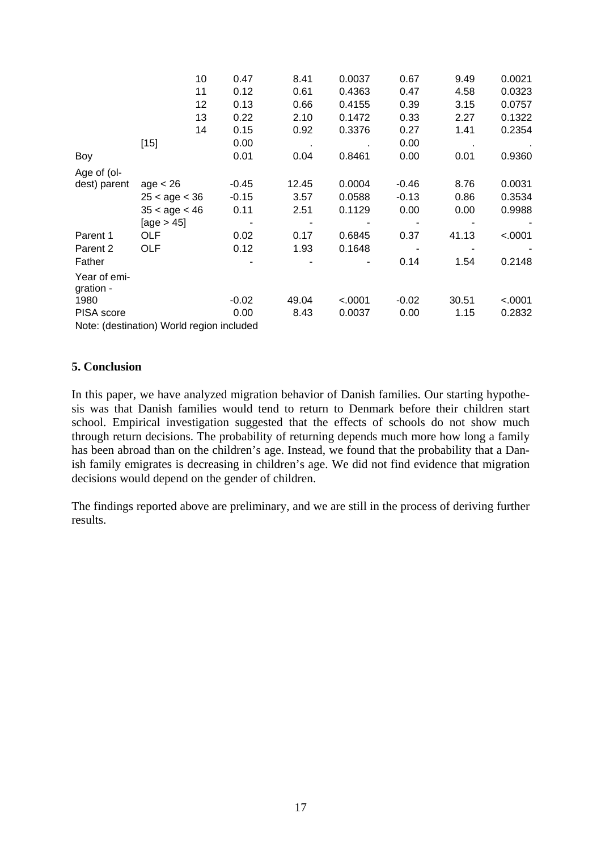|                           | 10                                        | 0.47    | 8.41  | 0.0037  | 0.67    | 9.49  | 0.0021  |
|---------------------------|-------------------------------------------|---------|-------|---------|---------|-------|---------|
|                           | 11                                        | 0.12    | 0.61  | 0.4363  | 0.47    | 4.58  | 0.0323  |
|                           | 12                                        | 0.13    | 0.66  | 0.4155  | 0.39    | 3.15  | 0.0757  |
|                           | 13                                        | 0.22    | 2.10  | 0.1472  | 0.33    | 2.27  | 0.1322  |
|                           | 14                                        | 0.15    | 0.92  | 0.3376  | 0.27    | 1.41  | 0.2354  |
|                           | $[15]$                                    | 0.00    |       |         | 0.00    |       |         |
| Boy                       |                                           | 0.01    | 0.04  | 0.8461  | 0.00    | 0.01  | 0.9360  |
| Age of (ol-               |                                           |         |       |         |         |       |         |
| dest) parent              | age < 26                                  | $-0.45$ | 12.45 | 0.0004  | $-0.46$ | 8.76  | 0.0031  |
|                           | $25 <$ age $< 36$                         | $-0.15$ | 3.57  | 0.0588  | $-0.13$ | 0.86  | 0.3534  |
|                           | $35 <$ age $< 46$                         | 0.11    | 2.51  | 0.1129  | 0.00    | 0.00  | 0.9988  |
|                           | [age $> 45$ ]                             |         |       |         |         |       |         |
| Parent 1                  | OLF                                       | 0.02    | 0.17  | 0.6845  | 0.37    | 41.13 | < .0001 |
| Parent 2                  | OLF                                       | 0.12    | 1.93  | 0.1648  |         |       |         |
| Father                    |                                           |         |       |         | 0.14    | 1.54  | 0.2148  |
| Year of emi-<br>gration - |                                           |         |       |         |         |       |         |
| 1980                      |                                           | $-0.02$ | 49.04 | < .0001 | $-0.02$ | 30.51 | < .0001 |
| PISA score                |                                           | 0.00    | 8.43  | 0.0037  | 0.00    | 1.15  | 0.2832  |
|                           | Note: (destination) World region included |         |       |         |         |       |         |

#### **5. Conclusion**

In this paper, we have analyzed migration behavior of Danish families. Our starting hypothesis was that Danish families would tend to return to Denmark before their children start school. Empirical investigation suggested that the effects of schools do not show much through return decisions. The probability of returning depends much more how long a family has been abroad than on the children's age. Instead, we found that the probability that a Danish family emigrates is decreasing in children's age. We did not find evidence that migration decisions would depend on the gender of children.

The findings reported above are preliminary, and we are still in the process of deriving further results.